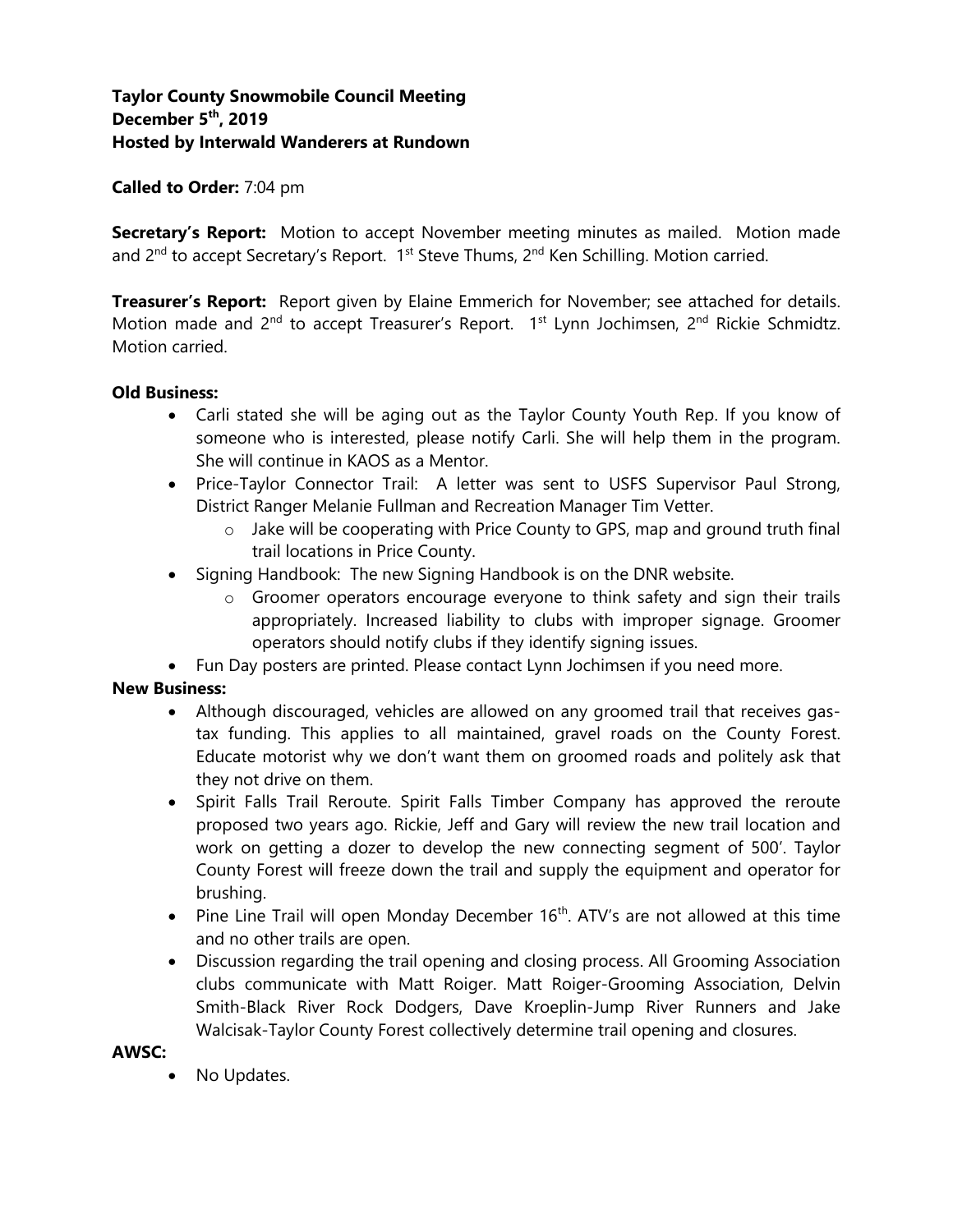# **Taylor County Snowmobile Council Meeting December 5 th, 2019 Hosted by Interwald Wanderers at Rundown**

### **Called to Order:** 7:04 pm

**Secretary's Report:** Motion to accept November meeting minutes as mailed. Motion made and 2<sup>nd</sup> to accept Secretary's Report. 1<sup>st</sup> Steve Thums, 2<sup>nd</sup> Ken Schilling. Motion carried.

**Treasurer's Report:** Report given by Elaine Emmerich for November; see attached for details. Motion made and 2<sup>nd</sup> to accept Treasurer's Report. 1<sup>st</sup> Lynn Jochimsen, 2<sup>nd</sup> Rickie Schmidtz. Motion carried.

### **Old Business:**

- Carli stated she will be aging out as the Taylor County Youth Rep. If you know of someone who is interested, please notify Carli. She will help them in the program. She will continue in KAOS as a Mentor.
- Price-Taylor Connector Trail: A letter was sent to USFS Supervisor Paul Strong, District Ranger Melanie Fullman and Recreation Manager Tim Vetter.
	- o Jake will be cooperating with Price County to GPS, map and ground truth final trail locations in Price County.
- Signing Handbook: The new Signing Handbook is on the DNR website.
	- o Groomer operators encourage everyone to think safety and sign their trails appropriately. Increased liability to clubs with improper signage. Groomer operators should notify clubs if they identify signing issues.

• Fun Day posters are printed. Please contact Lynn Jochimsen if you need more.

# **New Business:**

- Although discouraged, vehicles are allowed on any groomed trail that receives gastax funding. This applies to all maintained, gravel roads on the County Forest. Educate motorist why we don't want them on groomed roads and politely ask that they not drive on them.
- Spirit Falls Trail Reroute. Spirit Falls Timber Company has approved the reroute proposed two years ago. Rickie, Jeff and Gary will review the new trail location and work on getting a dozer to develop the new connecting segment of 500'. Taylor County Forest will freeze down the trail and supply the equipment and operator for brushing.
- Pine Line Trail will open Monday December  $16<sup>th</sup>$ . ATV's are not allowed at this time and no other trails are open.
- Discussion regarding the trail opening and closing process. All Grooming Association clubs communicate with Matt Roiger. Matt Roiger-Grooming Association, Delvin Smith-Black River Rock Dodgers, Dave Kroeplin-Jump River Runners and Jake Walcisak-Taylor County Forest collectively determine trail opening and closures.

### **AWSC:**

• No Updates.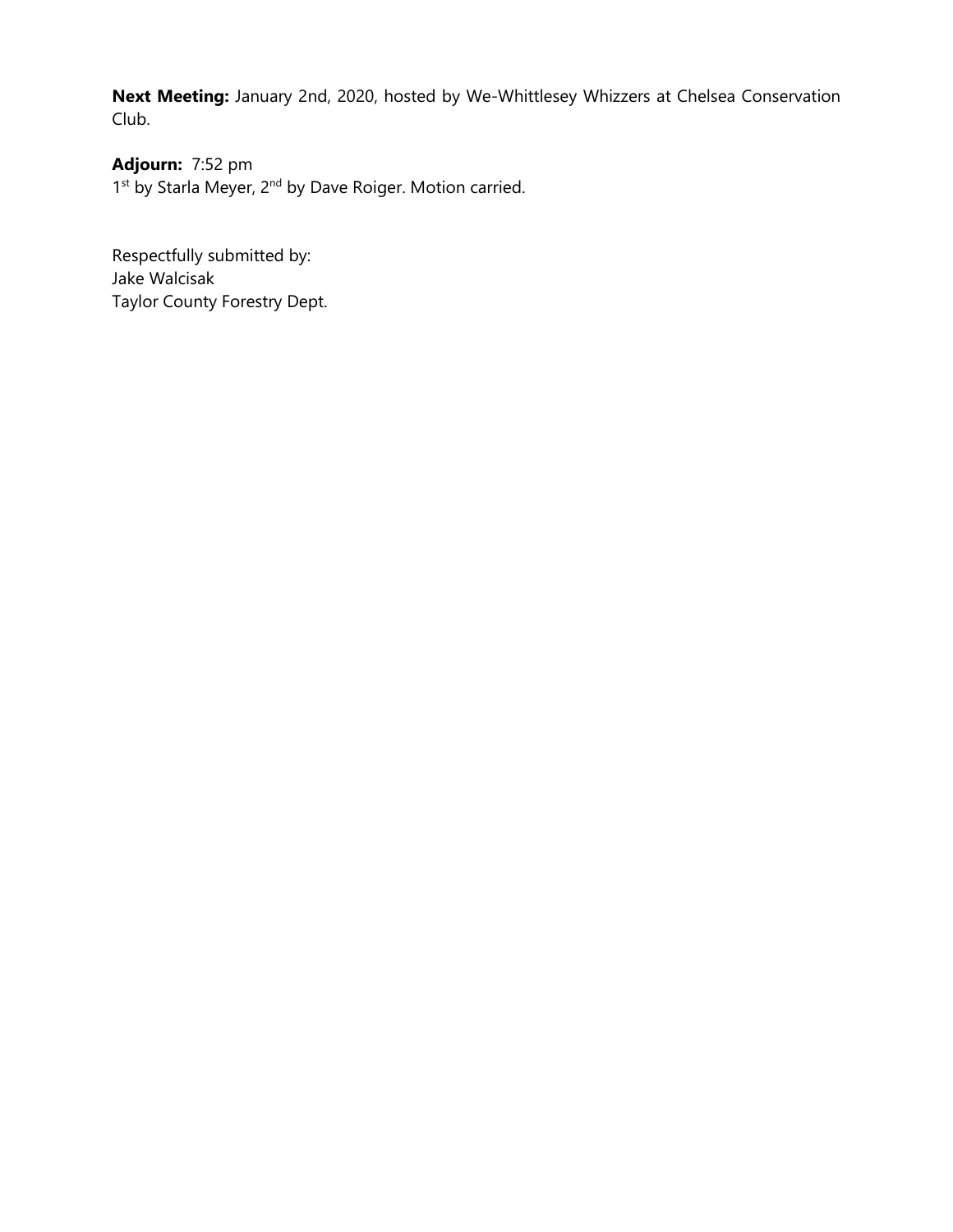**Next Meeting:** January 2nd, 2020, hosted by We-Whittlesey Whizzers at Chelsea Conservation Club.

**Adjourn:** 7:52 pm 1<sup>st</sup> by Starla Meyer, 2<sup>nd</sup> by Dave Roiger. Motion carried.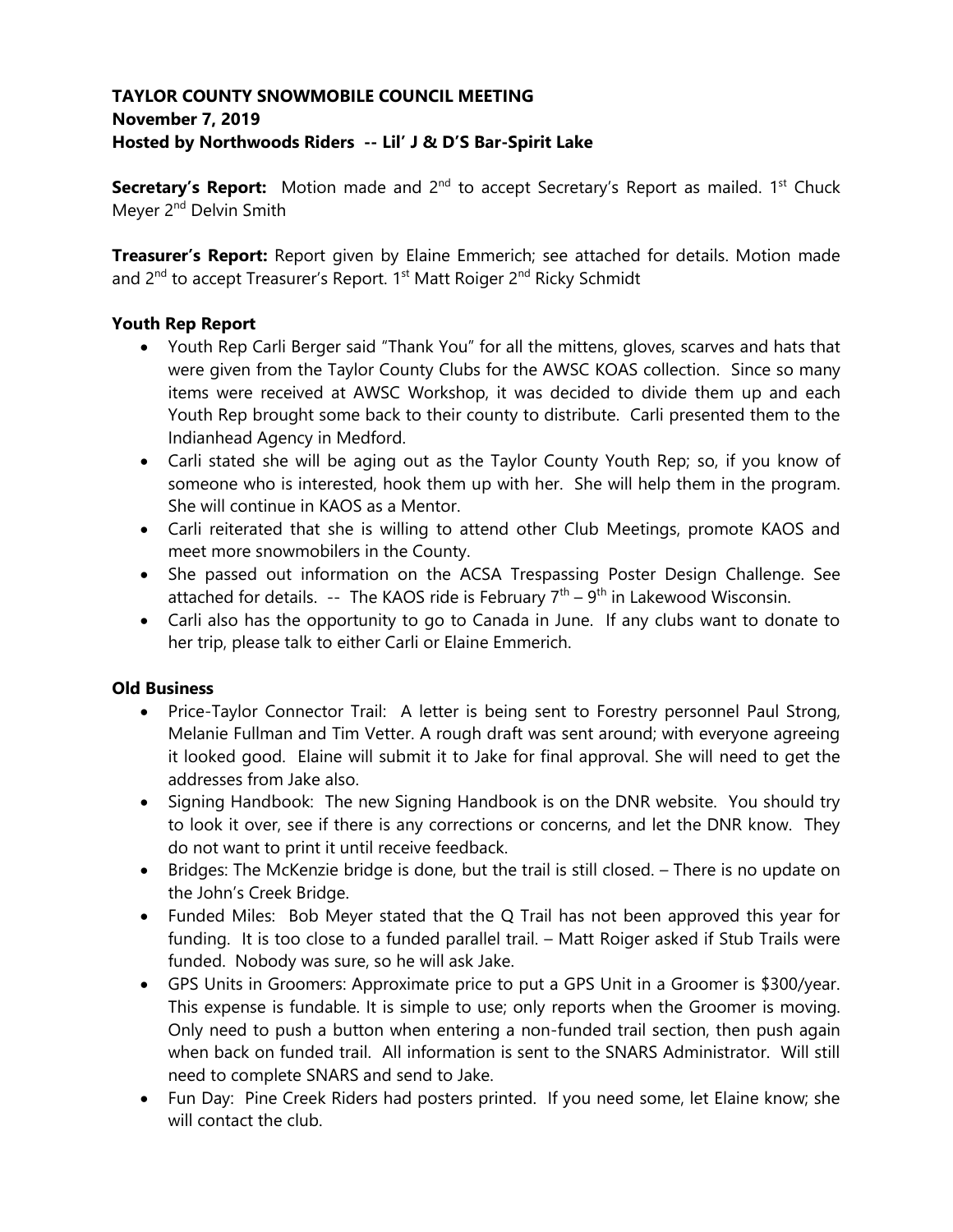# **TAYLOR COUNTY SNOWMOBILE COUNCIL MEETING November 7, 2019 Hosted by Northwoods Riders -- Lil' J & D'S Bar-Spirit Lake**

**Secretary's Report:** Motion made and 2<sup>nd</sup> to accept Secretary's Report as mailed. 1<sup>st</sup> Chuck Meyer 2<sup>nd</sup> Delvin Smith

**Treasurer's Report:** Report given by Elaine Emmerich; see attached for details. Motion made and 2<sup>nd</sup> to accept Treasurer's Report. 1<sup>st</sup> Matt Roiger 2<sup>nd</sup> Ricky Schmidt

# **Youth Rep Report**

- Youth Rep Carli Berger said "Thank You" for all the mittens, gloves, scarves and hats that were given from the Taylor County Clubs for the AWSC KOAS collection. Since so many items were received at AWSC Workshop, it was decided to divide them up and each Youth Rep brought some back to their county to distribute. Carli presented them to the Indianhead Agency in Medford.
- Carli stated she will be aging out as the Taylor County Youth Rep; so, if you know of someone who is interested, hook them up with her. She will help them in the program. She will continue in KAOS as a Mentor.
- Carli reiterated that she is willing to attend other Club Meetings, promote KAOS and meet more snowmobilers in the County.
- She passed out information on the ACSA Trespassing Poster Design Challenge. See attached for details. -- The KAOS ride is February  $7<sup>th</sup> - 9<sup>th</sup>$  in Lakewood Wisconsin.
- Carli also has the opportunity to go to Canada in June. If any clubs want to donate to her trip, please talk to either Carli or Elaine Emmerich.

# **Old Business**

- Price-Taylor Connector Trail: A letter is being sent to Forestry personnel Paul Strong, Melanie Fullman and Tim Vetter. A rough draft was sent around; with everyone agreeing it looked good. Elaine will submit it to Jake for final approval. She will need to get the addresses from Jake also.
- Signing Handbook: The new Signing Handbook is on the DNR website. You should try to look it over, see if there is any corrections or concerns, and let the DNR know. They do not want to print it until receive feedback.
- Bridges: The McKenzie bridge is done, but the trail is still closed. There is no update on the John's Creek Bridge.
- Funded Miles: Bob Meyer stated that the Q Trail has not been approved this year for funding. It is too close to a funded parallel trail. – Matt Roiger asked if Stub Trails were funded. Nobody was sure, so he will ask Jake.
- GPS Units in Groomers: Approximate price to put a GPS Unit in a Groomer is \$300/year. This expense is fundable. It is simple to use; only reports when the Groomer is moving. Only need to push a button when entering a non-funded trail section, then push again when back on funded trail. All information is sent to the SNARS Administrator. Will still need to complete SNARS and send to Jake.
- Fun Day: Pine Creek Riders had posters printed. If you need some, let Elaine know; she will contact the club.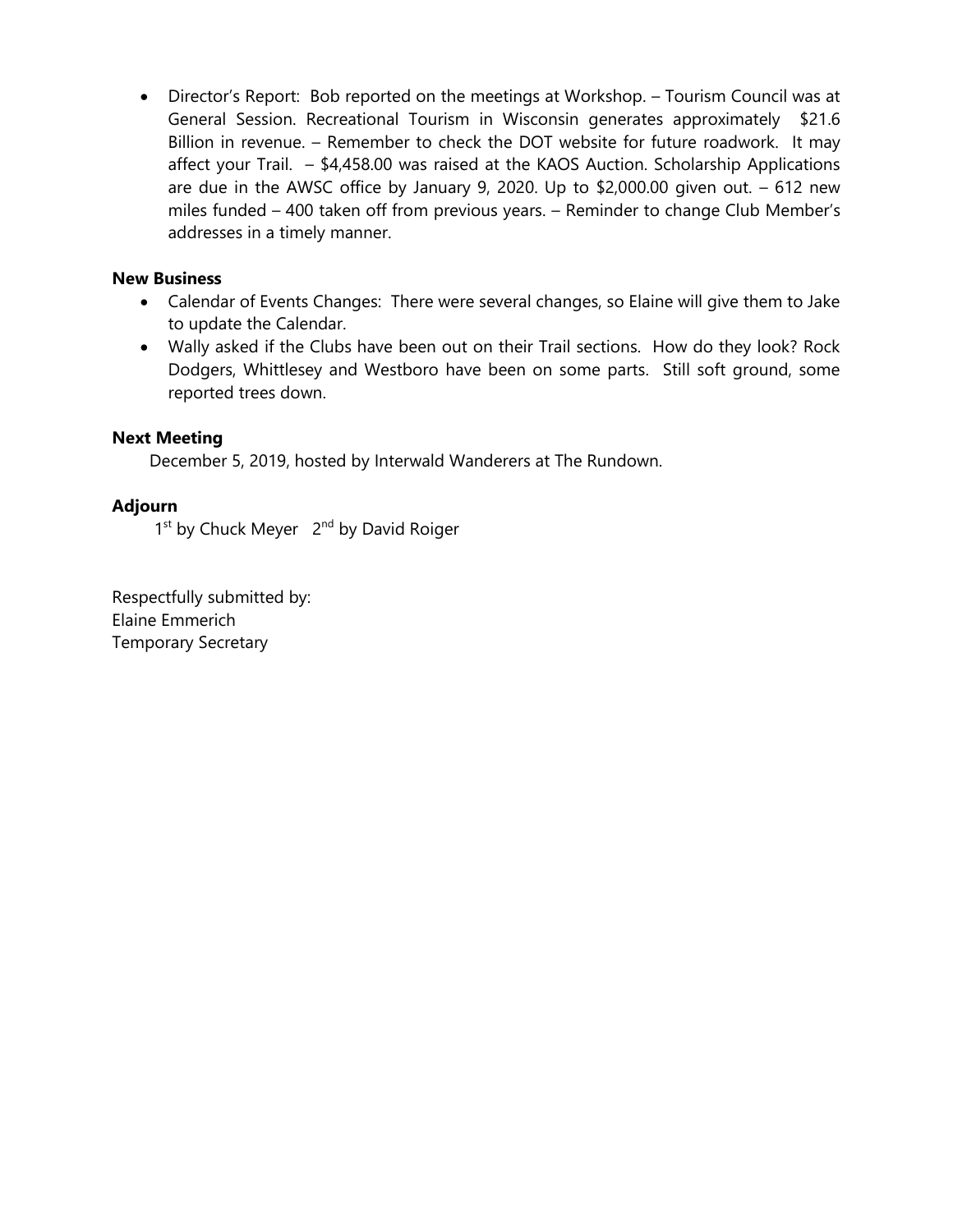• Director's Report: Bob reported on the meetings at Workshop. – Tourism Council was at General Session. Recreational Tourism in Wisconsin generates approximately \$21.6 Billion in revenue. – Remember to check the DOT website for future roadwork. It may affect your Trail. – \$4,458.00 was raised at the KAOS Auction. Scholarship Applications are due in the AWSC office by January 9, 2020. Up to \$2,000.00 given out.  $-612$  new miles funded – 400 taken off from previous years. – Reminder to change Club Member's addresses in a timely manner.

## **New Business**

- Calendar of Events Changes: There were several changes, so Elaine will give them to Jake to update the Calendar.
- Wally asked if the Clubs have been out on their Trail sections. How do they look? Rock Dodgers, Whittlesey and Westboro have been on some parts. Still soft ground, some reported trees down.

## **Next Meeting**

December 5, 2019, hosted by Interwald Wanderers at The Rundown.

## **Adjourn**

1<sup>st</sup> by Chuck Meyer 2<sup>nd</sup> by David Roiger

Respectfully submitted by: Elaine Emmerich Temporary Secretary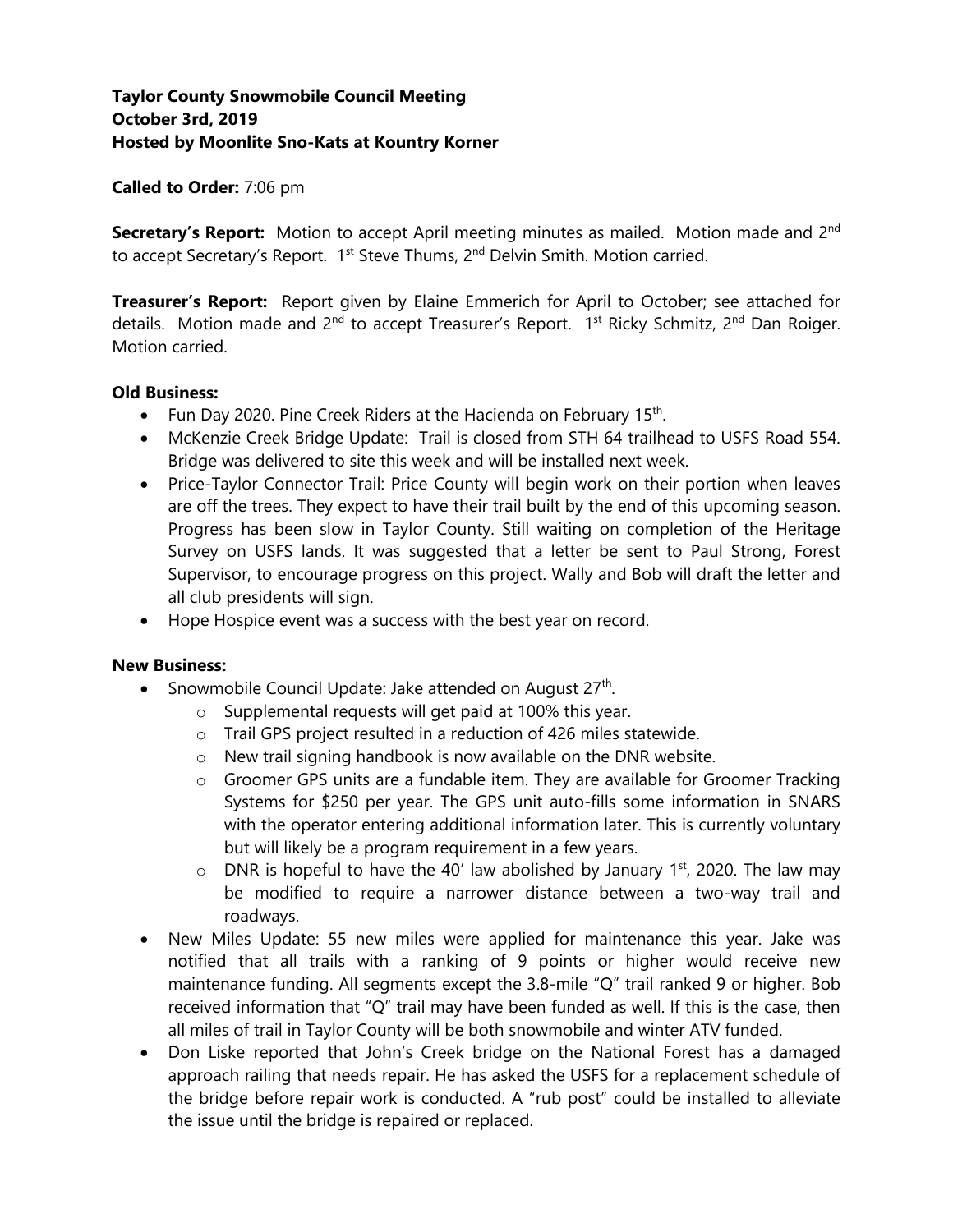# **Taylor County Snowmobile Council Meeting October 3rd, 2019 Hosted by Moonlite Sno-Kats at Kountry Korner**

#### **Called to Order:** 7:06 pm

**Secretary's Report:** Motion to accept April meeting minutes as mailed. Motion made and 2<sup>nd</sup> to accept Secretary's Report. 1<sup>st</sup> Steve Thums, 2<sup>nd</sup> Delvin Smith. Motion carried.

**Treasurer's Report:** Report given by Elaine Emmerich for April to October; see attached for details. Motion made and 2<sup>nd</sup> to accept Treasurer's Report. 1<sup>st</sup> Ricky Schmitz, 2<sup>nd</sup> Dan Roiger. Motion carried.

#### **Old Business:**

- Fun Day 2020. Pine Creek Riders at the Hacienda on February 15<sup>th</sup>.
- McKenzie Creek Bridge Update: Trail is closed from STH 64 trailhead to USFS Road 554. Bridge was delivered to site this week and will be installed next week.
- Price-Taylor Connector Trail: Price County will begin work on their portion when leaves are off the trees. They expect to have their trail built by the end of this upcoming season. Progress has been slow in Taylor County. Still waiting on completion of the Heritage Survey on USFS lands. It was suggested that a letter be sent to Paul Strong, Forest Supervisor, to encourage progress on this project. Wally and Bob will draft the letter and all club presidents will sign.
- Hope Hospice event was a success with the best year on record.

### **New Business:**

- Snowmobile Council Update: Jake attended on August  $27<sup>th</sup>$ .
	- o Supplemental requests will get paid at 100% this year.
	- o Trail GPS project resulted in a reduction of 426 miles statewide.
	- o New trail signing handbook is now available on the DNR website.
	- $\circ$  Groomer GPS units are a fundable item. They are available for Groomer Tracking Systems for \$250 per year. The GPS unit auto-fills some information in SNARS with the operator entering additional information later. This is currently voluntary but will likely be a program requirement in a few years.
	- $\circ$  DNR is hopeful to have the 40' law abolished by January 1<sup>st</sup>, 2020. The law may be modified to require a narrower distance between a two-way trail and roadways.
- New Miles Update: 55 new miles were applied for maintenance this year. Jake was notified that all trails with a ranking of 9 points or higher would receive new maintenance funding. All segments except the 3.8-mile "Q" trail ranked 9 or higher. Bob received information that "Q" trail may have been funded as well. If this is the case, then all miles of trail in Taylor County will be both snowmobile and winter ATV funded.
- Don Liske reported that John's Creek bridge on the National Forest has a damaged approach railing that needs repair. He has asked the USFS for a replacement schedule of the bridge before repair work is conducted. A "rub post" could be installed to alleviate the issue until the bridge is repaired or replaced.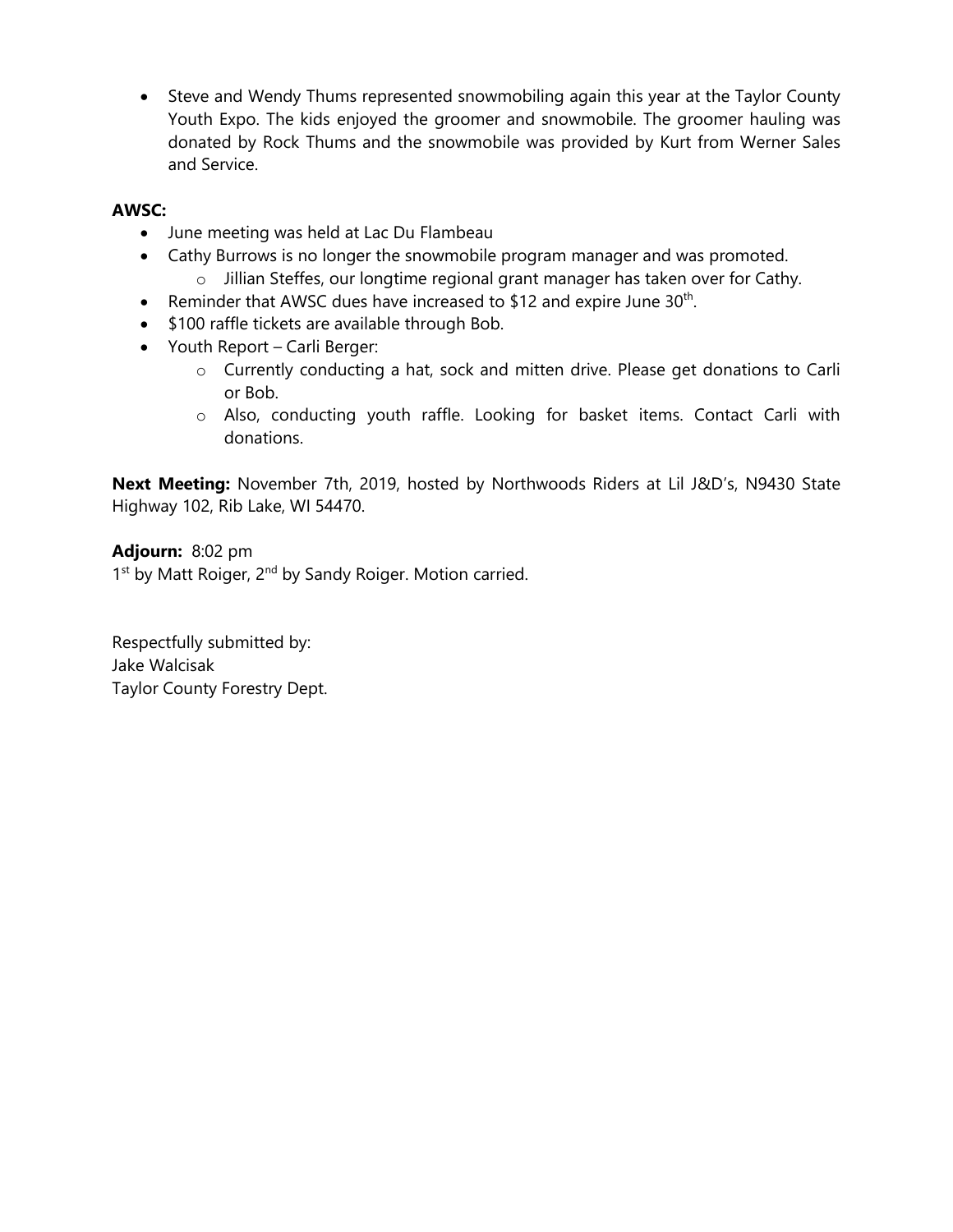• Steve and Wendy Thums represented snowmobiling again this year at the Taylor County Youth Expo. The kids enjoyed the groomer and snowmobile. The groomer hauling was donated by Rock Thums and the snowmobile was provided by Kurt from Werner Sales and Service.

## **AWSC:**

- June meeting was held at Lac Du Flambeau
- Cathy Burrows is no longer the snowmobile program manager and was promoted. o Jillian Steffes, our longtime regional grant manager has taken over for Cathy.
- Reminder that AWSC dues have increased to \$12 and expire June  $30<sup>th</sup>$ .
- \$100 raffle tickets are available through Bob.
- Youth Report Carli Berger:
	- o Currently conducting a hat, sock and mitten drive. Please get donations to Carli or Bob.
	- o Also, conducting youth raffle. Looking for basket items. Contact Carli with donations.

**Next Meeting:** November 7th, 2019, hosted by Northwoods Riders at Lil J&D's, N9430 State Highway 102, Rib Lake, WI 54470.

**Adjourn:** 8:02 pm 1<sup>st</sup> by Matt Roiger, 2<sup>nd</sup> by Sandy Roiger. Motion carried.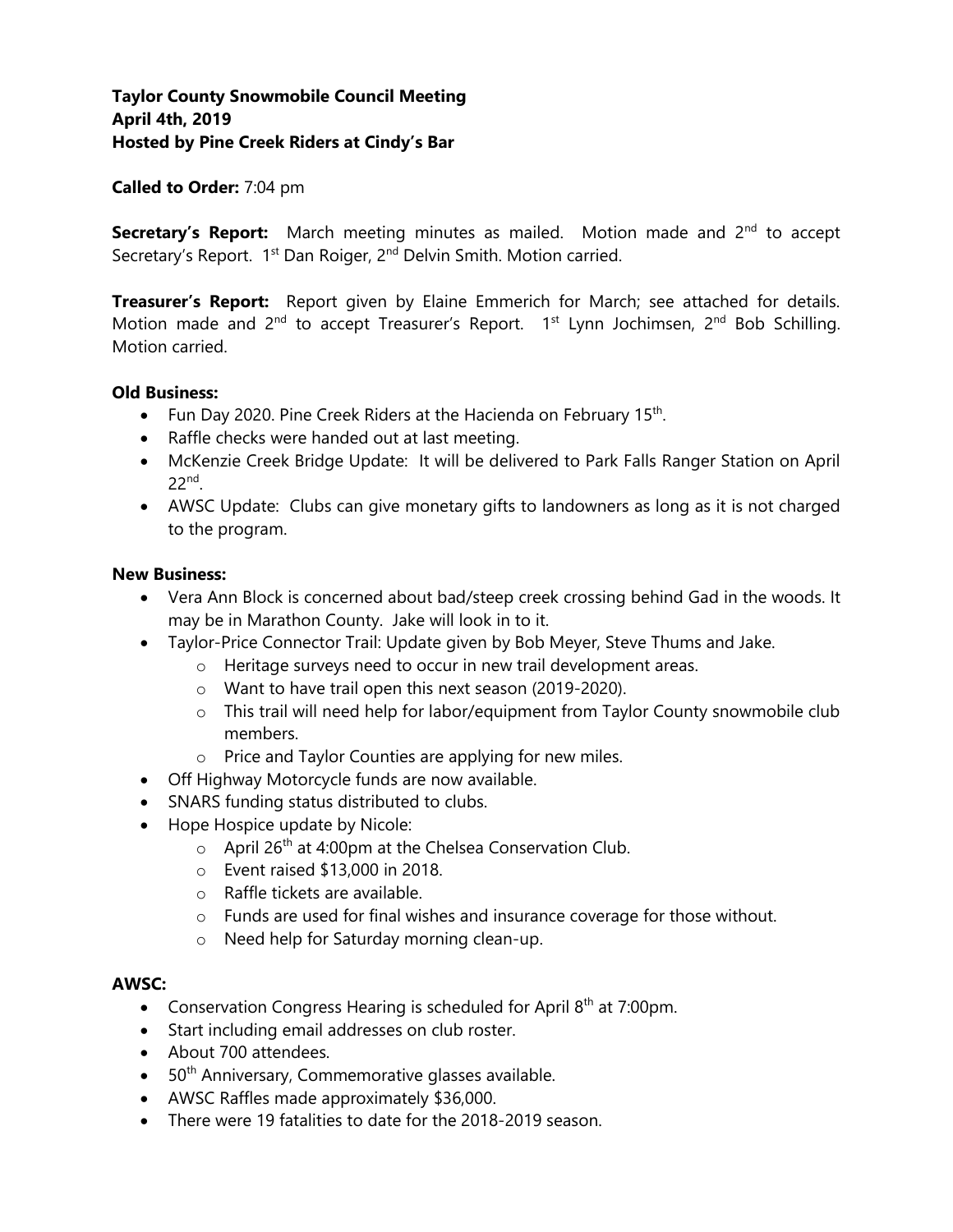# **Taylor County Snowmobile Council Meeting April 4th, 2019 Hosted by Pine Creek Riders at Cindy's Bar**

### **Called to Order:** 7:04 pm

**Secretary's Report:** March meeting minutes as mailed. Motion made and 2<sup>nd</sup> to accept Secretary's Report. 1<sup>st</sup> Dan Roiger, 2<sup>nd</sup> Delvin Smith. Motion carried.

**Treasurer's Report:** Report given by Elaine Emmerich for March; see attached for details. Motion made and  $2^{nd}$  to accept Treasurer's Report.  $1^{st}$  Lynn Jochimsen,  $2^{nd}$  Bob Schilling. Motion carried.

#### **Old Business:**

- Fun Day 2020. Pine Creek Riders at the Hacienda on February 15<sup>th</sup>.
- Raffle checks were handed out at last meeting.
- McKenzie Creek Bridge Update: It will be delivered to Park Falls Ranger Station on April 22nd .
- AWSC Update: Clubs can give monetary gifts to landowners as long as it is not charged to the program.

#### **New Business:**

- Vera Ann Block is concerned about bad/steep creek crossing behind Gad in the woods. It may be in Marathon County. Jake will look in to it.
- Taylor-Price Connector Trail: Update given by Bob Meyer, Steve Thums and Jake.
	- o Heritage surveys need to occur in new trail development areas.
	- o Want to have trail open this next season (2019-2020).
	- o This trail will need help for labor/equipment from Taylor County snowmobile club members.
	- o Price and Taylor Counties are applying for new miles.
- Off Highway Motorcycle funds are now available.
- SNARS funding status distributed to clubs.
- Hope Hospice update by Nicole:
	- $\circ$  April 26<sup>th</sup> at 4:00pm at the Chelsea Conservation Club.
	- $\circ$  Event raised \$13,000 in 2018.
	- o Raffle tickets are available.
	- o Funds are used for final wishes and insurance coverage for those without.
	- o Need help for Saturday morning clean-up.

#### **AWSC:**

- Conservation Congress Hearing is scheduled for April  $8<sup>th</sup>$  at 7:00pm.
- Start including email addresses on club roster.
- About 700 attendees.
- $\bullet$  50<sup>th</sup> Anniversary, Commemorative glasses available.
- AWSC Raffles made approximately \$36,000.
- There were 19 fatalities to date for the 2018-2019 season.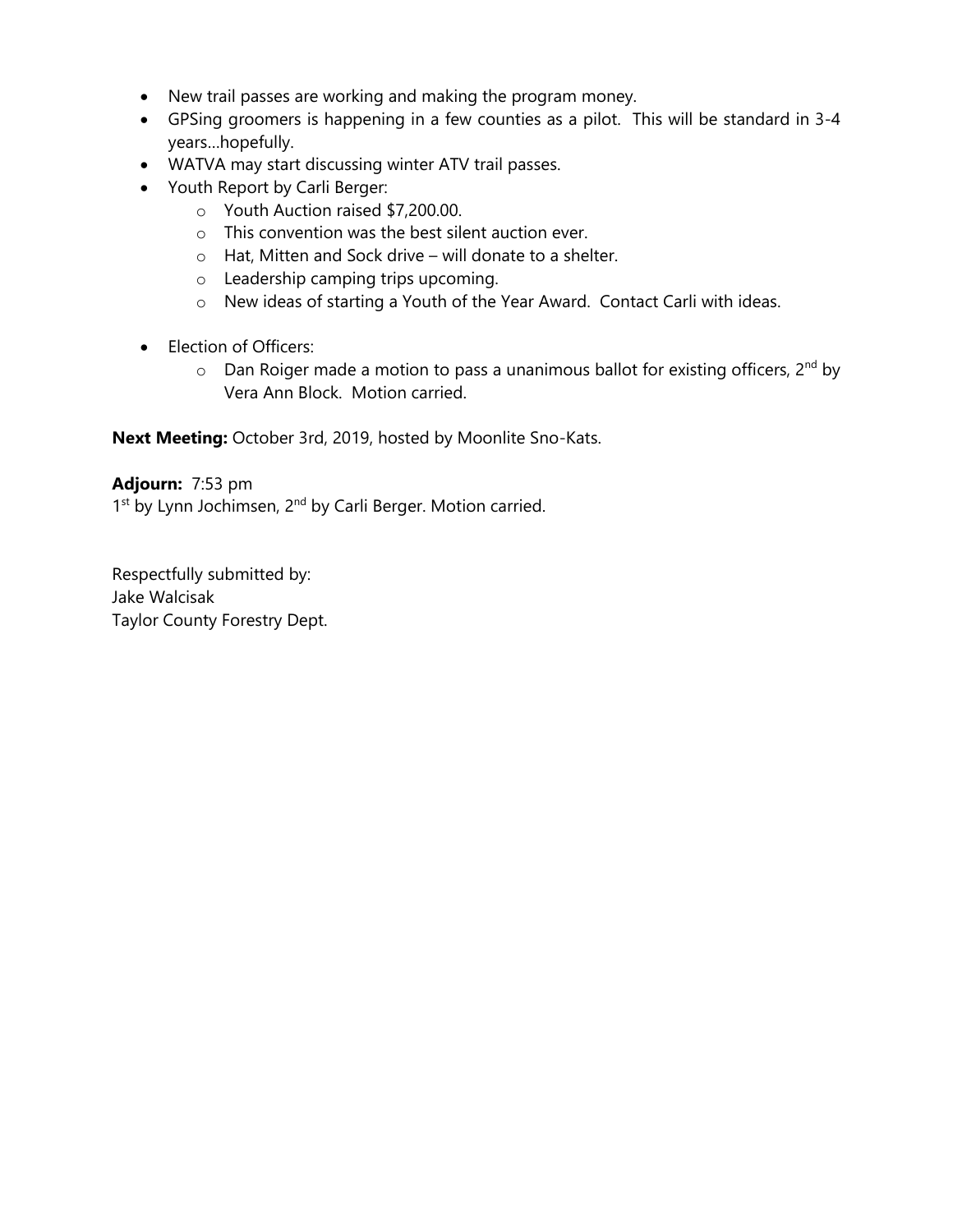- New trail passes are working and making the program money.
- GPSing groomers is happening in a few counties as a pilot. This will be standard in 3-4 years…hopefully.
- WATVA may start discussing winter ATV trail passes.
- Youth Report by Carli Berger:
	- o Youth Auction raised \$7,200.00.
	- o This convention was the best silent auction ever.
	- o Hat, Mitten and Sock drive will donate to a shelter.
	- o Leadership camping trips upcoming.
	- o New ideas of starting a Youth of the Year Award. Contact Carli with ideas.
- Election of Officers:
	- $\circ$  Dan Roiger made a motion to pass a unanimous ballot for existing officers, 2<sup>nd</sup> by Vera Ann Block. Motion carried.

**Next Meeting:** October 3rd, 2019, hosted by Moonlite Sno-Kats.

### **Adjourn:** 7:53 pm

1<sup>st</sup> by Lynn Jochimsen, 2<sup>nd</sup> by Carli Berger. Motion carried.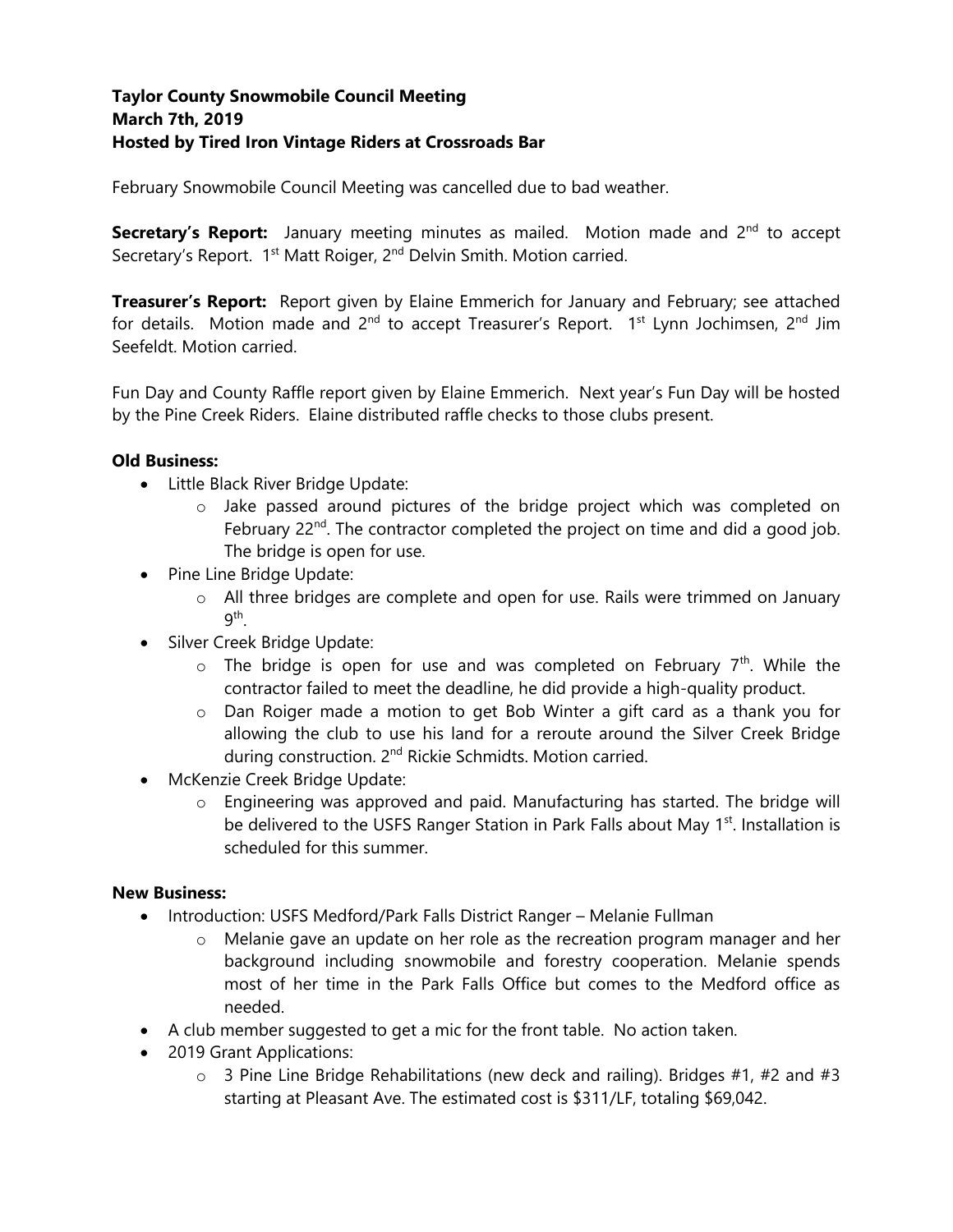# **Taylor County Snowmobile Council Meeting March 7th, 2019 Hosted by Tired Iron Vintage Riders at Crossroads Bar**

February Snowmobile Council Meeting was cancelled due to bad weather.

**Secretary's Report:** January meeting minutes as mailed. Motion made and 2<sup>nd</sup> to accept Secretary's Report. 1<sup>st</sup> Matt Roiger, 2<sup>nd</sup> Delvin Smith. Motion carried.

**Treasurer's Report:** Report given by Elaine Emmerich for January and February; see attached for details. Motion made and  $2^{nd}$  to accept Treasurer's Report. 1<sup>st</sup> Lynn Jochimsen, 2<sup>nd</sup> Jim Seefeldt. Motion carried.

Fun Day and County Raffle report given by Elaine Emmerich. Next year's Fun Day will be hosted by the Pine Creek Riders. Elaine distributed raffle checks to those clubs present.

## **Old Business:**

- Little Black River Bridge Update:
	- $\circ$  Jake passed around pictures of the bridge project which was completed on February  $22^{nd}$ . The contractor completed the project on time and did a good job. The bridge is open for use.
- Pine Line Bridge Update:
	- o All three bridges are complete and open for use. Rails were trimmed on January  $9^{\mathsf{th}}.$
- Silver Creek Bridge Update:
	- $\circ$  The bridge is open for use and was completed on February  $7<sup>th</sup>$ . While the contractor failed to meet the deadline, he did provide a high-quality product.
	- o Dan Roiger made a motion to get Bob Winter a gift card as a thank you for allowing the club to use his land for a reroute around the Silver Creek Bridge during construction. 2<sup>nd</sup> Rickie Schmidts. Motion carried.
- McKenzie Creek Bridge Update:
	- o Engineering was approved and paid. Manufacturing has started. The bridge will be delivered to the USFS Ranger Station in Park Falls about May 1<sup>st</sup>. Installation is scheduled for this summer.

### **New Business:**

- Introduction: USFS Medford/Park Falls District Ranger Melanie Fullman
	- $\circ$  Melanie gave an update on her role as the recreation program manager and her background including snowmobile and forestry cooperation. Melanie spends most of her time in the Park Falls Office but comes to the Medford office as needed.
- A club member suggested to get a mic for the front table. No action taken.
- 2019 Grant Applications:
	- $\circ$  3 Pine Line Bridge Rehabilitations (new deck and railing). Bridges #1, #2 and #3 starting at Pleasant Ave. The estimated cost is \$311/LF, totaling \$69,042.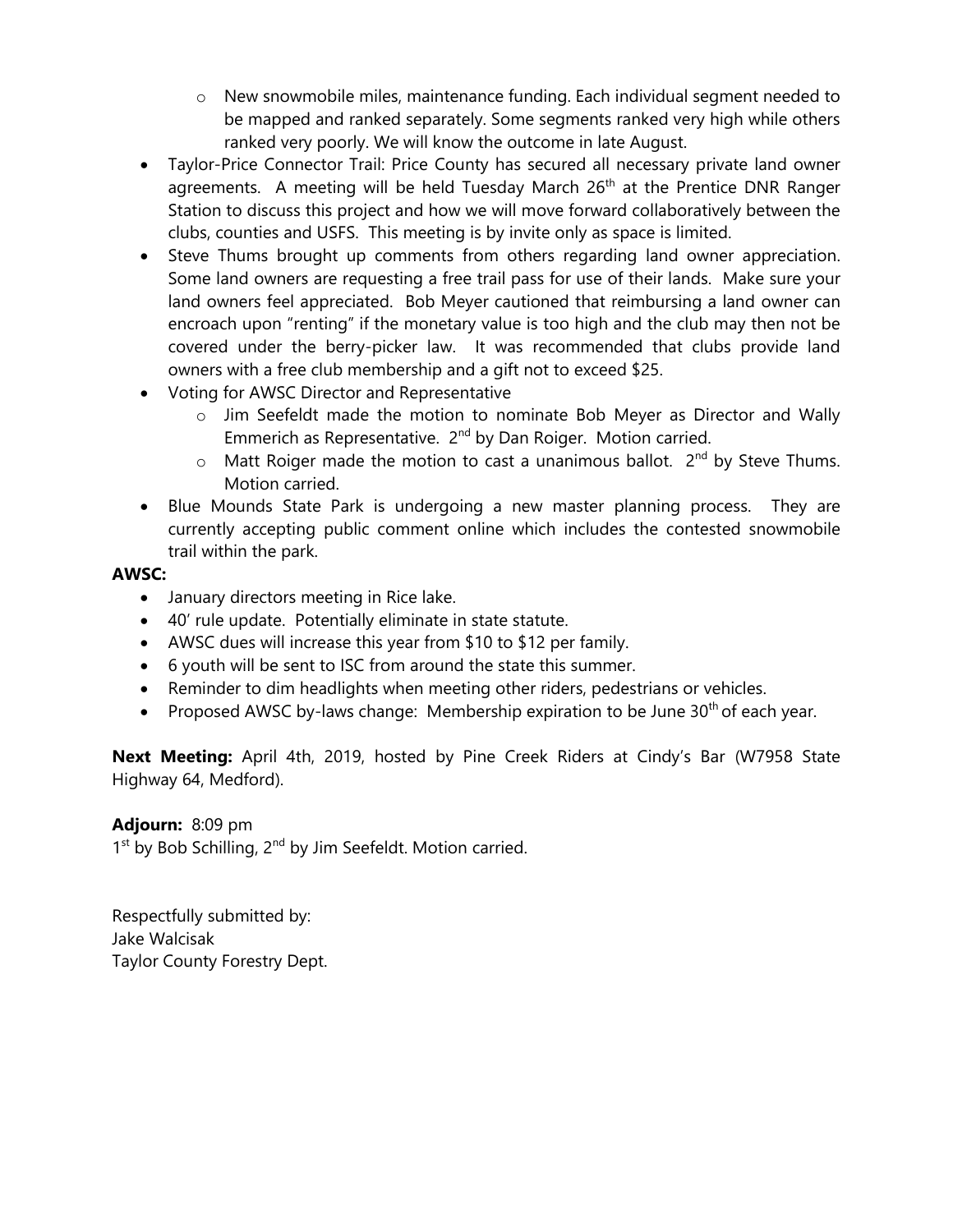- $\circ$  New snowmobile miles, maintenance funding. Each individual segment needed to be mapped and ranked separately. Some segments ranked very high while others ranked very poorly. We will know the outcome in late August.
- Taylor-Price Connector Trail: Price County has secured all necessary private land owner agreements. A meeting will be held Tuesday March 26<sup>th</sup> at the Prentice DNR Ranger Station to discuss this project and how we will move forward collaboratively between the clubs, counties and USFS. This meeting is by invite only as space is limited.
- Steve Thums brought up comments from others regarding land owner appreciation. Some land owners are requesting a free trail pass for use of their lands. Make sure your land owners feel appreciated. Bob Meyer cautioned that reimbursing a land owner can encroach upon "renting" if the monetary value is too high and the club may then not be covered under the berry-picker law. It was recommended that clubs provide land owners with a free club membership and a gift not to exceed \$25.
- Voting for AWSC Director and Representative
	- o Jim Seefeldt made the motion to nominate Bob Meyer as Director and Wally Emmerich as Representative. 2<sup>nd</sup> by Dan Roiger. Motion carried.
	- $\circ$  Matt Roiger made the motion to cast a unanimous ballot. 2<sup>nd</sup> by Steve Thums. Motion carried.
- Blue Mounds State Park is undergoing a new master planning process. They are currently accepting public comment online which includes the contested snowmobile trail within the park.

# **AWSC:**

- January directors meeting in Rice lake.
- 40' rule update. Potentially eliminate in state statute.
- AWSC dues will increase this year from \$10 to \$12 per family.
- 6 youth will be sent to ISC from around the state this summer.
- Reminder to dim headlights when meeting other riders, pedestrians or vehicles.
- Proposed AWSC by-laws change: Membership expiration to be June  $30<sup>th</sup>$  of each year.

**Next Meeting:** April 4th, 2019, hosted by Pine Creek Riders at Cindy's Bar (W7958 State Highway 64, Medford).

# **Adjourn:** 8:09 pm

1<sup>st</sup> by Bob Schilling, 2<sup>nd</sup> by Jim Seefeldt. Motion carried.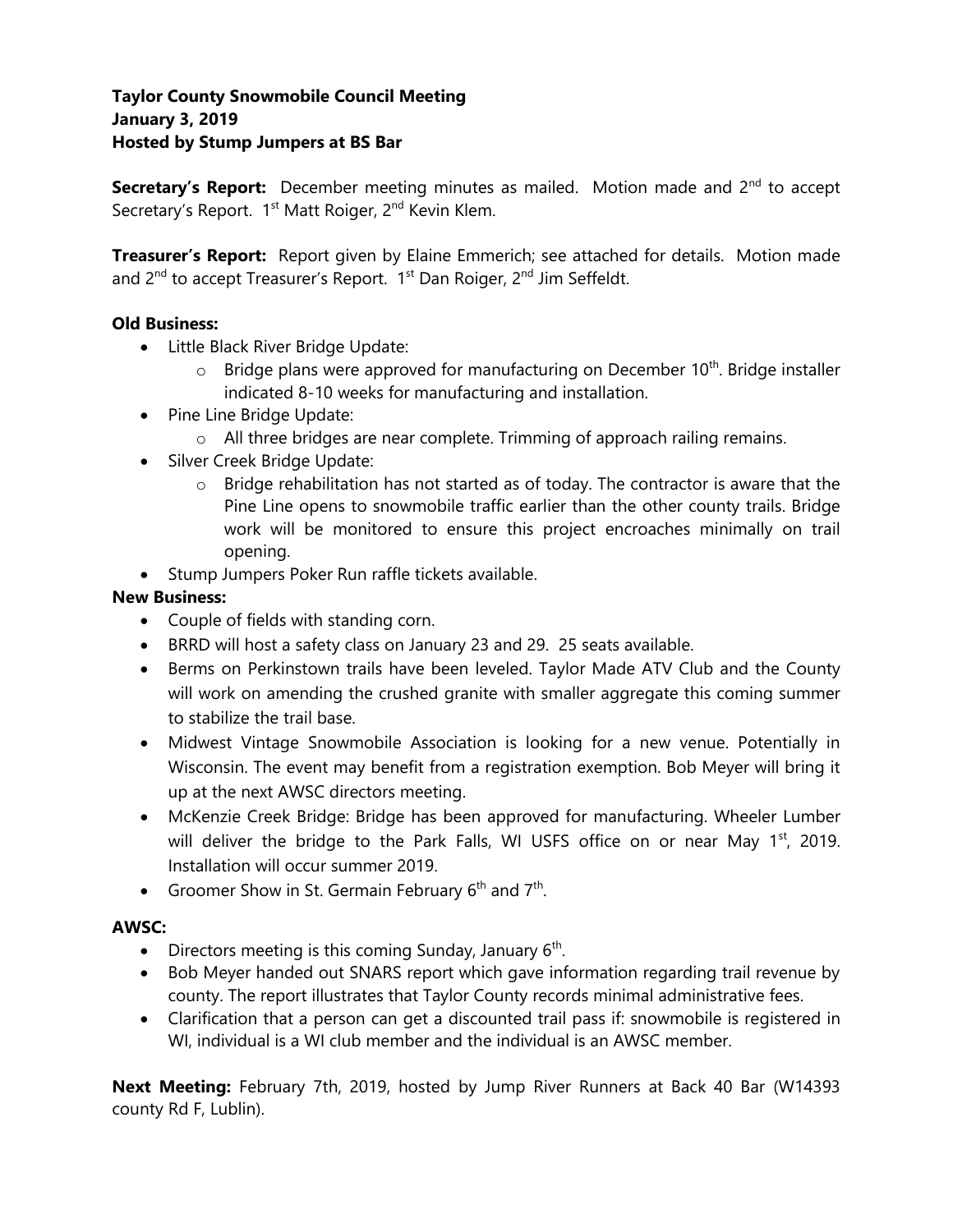# **Taylor County Snowmobile Council Meeting January 3, 2019 Hosted by Stump Jumpers at BS Bar**

**Secretary's Report:** December meeting minutes as mailed. Motion made and 2<sup>nd</sup> to accept Secretary's Report. 1<sup>st</sup> Matt Roiger, 2<sup>nd</sup> Kevin Klem.

**Treasurer's Report:** Report given by Elaine Emmerich; see attached for details. Motion made and 2<sup>nd</sup> to accept Treasurer's Report. 1<sup>st</sup> Dan Roiger, 2<sup>nd</sup> Jim Seffeldt.

## **Old Business:**

- Little Black River Bridge Update:
	- $\circ$  Bridge plans were approved for manufacturing on December 10<sup>th</sup>. Bridge installer indicated 8-10 weeks for manufacturing and installation.
- Pine Line Bridge Update:
	- $\circ$  All three bridges are near complete. Trimming of approach railing remains.
- Silver Creek Bridge Update:
	- $\circ$  Bridge rehabilitation has not started as of today. The contractor is aware that the Pine Line opens to snowmobile traffic earlier than the other county trails. Bridge work will be monitored to ensure this project encroaches minimally on trail opening.
- Stump Jumpers Poker Run raffle tickets available.

### **New Business:**

- Couple of fields with standing corn.
- BRRD will host a safety class on January 23 and 29. 25 seats available.
- Berms on Perkinstown trails have been leveled. Taylor Made ATV Club and the County will work on amending the crushed granite with smaller aggregate this coming summer to stabilize the trail base.
- Midwest Vintage Snowmobile Association is looking for a new venue. Potentially in Wisconsin. The event may benefit from a registration exemption. Bob Meyer will bring it up at the next AWSC directors meeting.
- McKenzie Creek Bridge: Bridge has been approved for manufacturing. Wheeler Lumber will deliver the bridge to the Park Falls, WI USFS office on or near May  $1<sup>st</sup>$ , 2019. Installation will occur summer 2019.
- Groomer Show in St. Germain February  $6<sup>th</sup>$  and  $7<sup>th</sup>$ .

### **AWSC:**

- Directors meeting is this coming Sunday, January  $6<sup>th</sup>$ .
- Bob Meyer handed out SNARS report which gave information regarding trail revenue by county. The report illustrates that Taylor County records minimal administrative fees.
- Clarification that a person can get a discounted trail pass if: snowmobile is registered in WI, individual is a WI club member and the individual is an AWSC member.

**Next Meeting:** February 7th, 2019, hosted by Jump River Runners at Back 40 Bar (W14393 county Rd F, Lublin).